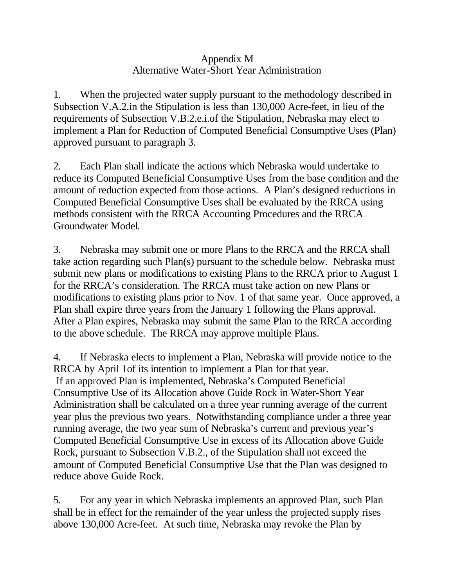## Appendix M Alternative Water-Short Year Administration

1. When the projected water supply pursuant to the methodology described in Subsection V.A.2.in the Stipulation is less than 130,000 Acre-feet, in lieu of the requirements of Subsection V.B.2.e.i.of the Stipulation, Nebraska may elect to implement a Plan for Reduction of Computed Beneficial Consumptive Uses (Plan) approved pursuant to paragraph 3.

2. Each Plan shall indicate the actions which Nebraska would undertake to reduce its Computed Beneficial Consumptive Uses from the base condition and the amount of reduction expected from those actions. A Plan's designed reductions in Computed Beneficial Consumptive Uses shall be evaluated by the RRCA using methods consistent with the RRCA Accounting Procedures and the RRCA Groundwater Model.

3. Nebraska may submit one or more Plans to the RRCA and the RRCA shall take action regarding such Plan(s) pursuant to the schedule below. Nebraska must submit new plans or modifications to existing Plans to the RRCA prior to August 1 for the RRCA's consideration. The RRCA must take action on new Plans or modifications to existing plans prior to Nov. 1 of that same year. Once approved, a Plan shall expire three years from the January 1 following the Plans approval. After a Plan expires, Nebraska may submit the same Plan to the RRCA according to the above schedule. The RRCA may approve multiple Plans.

4. If Nebraska elects to implement a Plan, Nebraska will provide notice to the RRCA by April 1of its intention to implement a Plan for that year. If an approved Plan is implemented, Nebraska's Computed Beneficial Consumptive Use of its Allocation above Guide Rock in Water-Short Year Administration shall be calculated on a three year running average of the current year plus the previous two years. Notwithstanding compliance under a three year running average, the two year sum of Nebraska's current and previous year's Computed Beneficial Consumptive Use in excess of its Allocation above Guide Rock, pursuant to Subsection V.B.2., of the Stipulation shall not exceed the amount of Computed Beneficial Consumptive Use that the Plan was designed to reduce above Guide Rock.

5. For any year in which Nebraska implements an approved Plan, such Plan shall be in effect for the remainder of the year unless the projected supply rises above 130,000 Acre-feet. At such time, Nebraska may revoke the Plan by